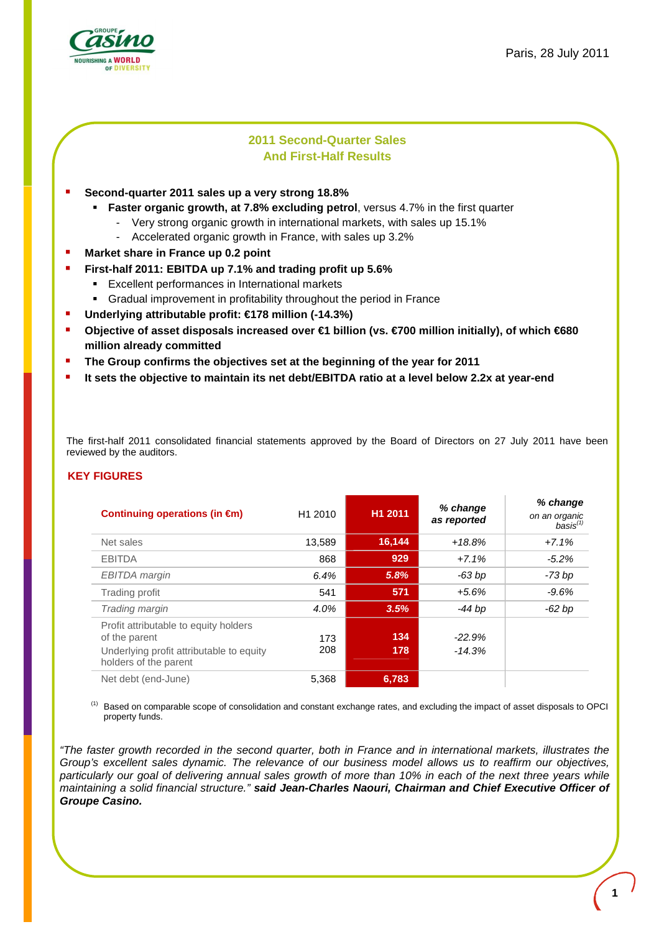

# **2011 Second-Quarter Sales And First-Half Results**

- **Second-quarter 2011 sales up a very strong 18.8%** 
	- **Faster organic growth, at 7.8% excluding petrol**, versus 4.7% in the first quarter
		- Very strong organic growth in international markets, with sales up 15.1%
		- Accelerated organic growth in France, with sales up 3.2%
- **Market share in France up 0.2 point**
- **First-half 2011: EBITDA up 7.1% and trading profit up 5.6%** 
	- Excellent performances in International markets
		- Gradual improvement in profitability throughout the period in France
- **Underlying attributable profit: €178 million (-14.3%)**
- **Objective of asset disposals increased over €1 billion (vs. €700 million initially), of which €680 million already committed**
- **The Group confirms the objectives set at the beginning of the year for 2011**
- **It sets the objective to maintain its net debt/EBITDA ratio at a level below 2.2x at year-end**

The first-half 2011 consolidated financial statements approved by the Board of Directors on 27 July 2011 have been reviewed by the auditors.

### **KEY FIGURES**

|                                                                   | H1 2011             |         | % change    | % change                       |
|-------------------------------------------------------------------|---------------------|---------|-------------|--------------------------------|
| Continuing operations (in $\epsilon$ m)                           | H <sub>1</sub> 2010 |         | as reported | on an organic<br>$basis^{(1)}$ |
| Net sales                                                         | 13,589              | 16, 144 | $+18.8%$    | $+7.1%$                        |
| <b>EBITDA</b>                                                     | 868                 | 929     | $+7.1%$     | $-5.2%$                        |
| <b>EBITDA</b> margin                                              | 6.4%                | 5.8%    | $-63 bp$    | -73 bp                         |
| Trading profit                                                    | 541                 | 571     | $+5.6%$     | $-9.6%$                        |
| Trading margin                                                    | 4.0%                | 3.5%    | $-44$ bp    | $-62$ bp                       |
| Profit attributable to equity holders                             |                     |         |             |                                |
| of the parent                                                     | 173                 | 134     | $-22.9%$    |                                |
| Underlying profit attributable to equity<br>holders of the parent | 208                 | 178     | $-14.3%$    |                                |
| Net debt (end-June)                                               | 5,368               | 6,783   |             |                                |

<sup>(1)</sup> Based on comparable scope of consolidation and constant exchange rates, and excluding the impact of asset disposals to OPCI property funds.

"The faster growth recorded in the second quarter, both in France and in international markets, illustrates the Group's excellent sales dynamic. The relevance of our business model allows us to reaffirm our objectives, particularly our goal of delivering annual sales growth of more than 10% in each of the next three years while maintaining a solid financial structure." **said Jean-Charles Naouri, Chairman and Chief Executive Officer of Groupe Casino.**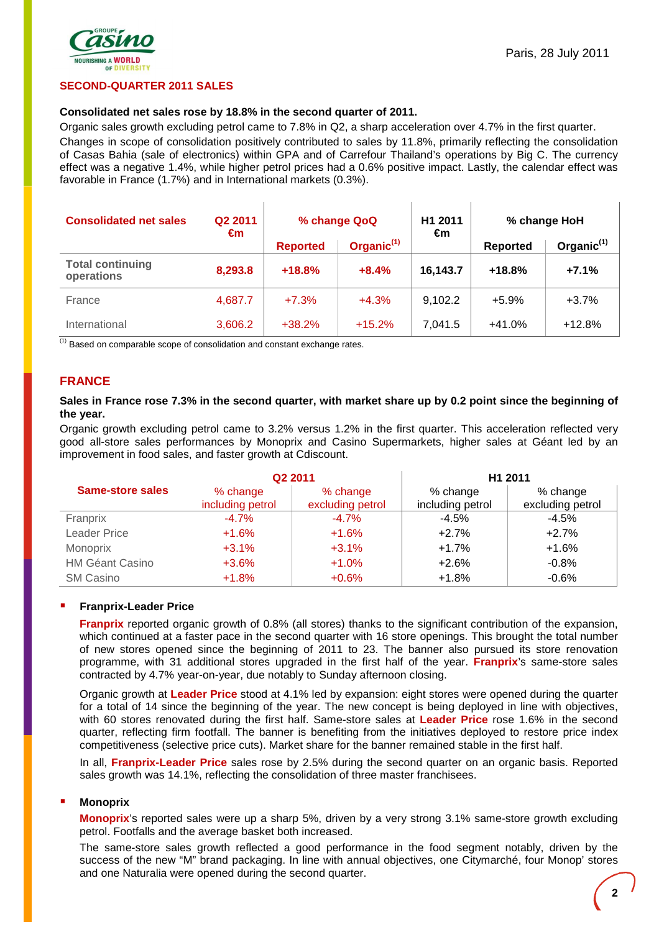

### **SECOND-QUARTER 2011 SALES**

### **Consolidated net sales rose by 18.8% in the second quarter of 2011.**

Organic sales growth excluding petrol came to 7.8% in Q2, a sharp acceleration over 4.7% in the first quarter.

Changes in scope of consolidation positively contributed to sales by 11.8%, primarily reflecting the consolidation of Casas Bahia (sale of electronics) within GPA and of Carrefour Thailand's operations by Big C. The currency effect was a negative 1.4%, while higher petrol prices had a 0.6% positive impact. Lastly, the calendar effect was favorable in France (1.7%) and in International markets (0.3%).

| <b>Consolidated net sales</b>         | Q <sub>2</sub> 2011<br>€m | % change QoQ    |                        | H1 2011  | % change HoH<br>€m |               |
|---------------------------------------|---------------------------|-----------------|------------------------|----------|--------------------|---------------|
|                                       |                           | <b>Reported</b> | Organic <sup>(1)</sup> |          | Reported           | Organic $(1)$ |
| <b>Total continuing</b><br>operations | 8,293.8                   | $+18.8%$        | $+8.4%$                | 16,143.7 | $+18.8%$           | $+7.1%$       |
| France                                | 4,687.7                   | $+7.3%$         | $+4.3%$                | 9,102.2  | $+5.9%$            | $+3.7%$       |
| International                         | 3,606.2                   | $+38.2%$        | $+15.2%$               | 7.041.5  | $+41.0%$           | $+12.8%$      |

 $\overline{^{(1)}}$  Based on comparable scope of consolidation and constant exchange rates.

### **FRANCE**

### **Sales in France rose 7.3% in the second quarter, with market share up by 0.2 point since the beginning of the year.**

Organic growth excluding petrol came to 3.2% versus 1.2% in the first quarter. This acceleration reflected very good all-store sales performances by Monoprix and Casino Supermarkets, higher sales at Géant led by an improvement in food sales, and faster growth at Cdiscount.

|                         |                              | Q <sub>2</sub> 2011          |                              | H1 2011                      |
|-------------------------|------------------------------|------------------------------|------------------------------|------------------------------|
| <b>Same-store sales</b> | % change<br>including petrol | % change<br>excluding petrol | % change<br>including petrol | % change<br>excluding petrol |
| Franprix                | $-4.7\%$                     | $-4.7%$                      | $-4.5\%$                     | $-4.5%$                      |
| <b>Leader Price</b>     | $+1.6%$                      | $+1.6%$                      | $+2.7%$                      | $+2.7%$                      |
| Monoprix                | $+3.1%$                      | $+3.1%$                      | $+1.7%$                      | $+1.6%$                      |
| <b>HM Géant Casino</b>  | $+3.6%$                      | $+1.0%$                      | $+2.6%$                      | $-0.8%$                      |
| <b>SM Casino</b>        | $+1.8%$                      | $+0.6%$                      | $+1.8%$                      | $-0.6%$                      |

### **Franprix-Leader Price**

**Franprix** reported organic growth of 0.8% (all stores) thanks to the significant contribution of the expansion, which continued at a faster pace in the second quarter with 16 store openings. This brought the total number of new stores opened since the beginning of 2011 to 23. The banner also pursued its store renovation programme, with 31 additional stores upgraded in the first half of the year. **Franprix**'s same-store sales contracted by 4.7% year-on-year, due notably to Sunday afternoon closing.

Organic growth at **Leader Price** stood at 4.1% led by expansion: eight stores were opened during the quarter for a total of 14 since the beginning of the year. The new concept is being deployed in line with objectives, with 60 stores renovated during the first half. Same-store sales at **Leader Price** rose 1.6% in the second quarter, reflecting firm footfall. The banner is benefiting from the initiatives deployed to restore price index competitiveness (selective price cuts). Market share for the banner remained stable in the first half.

In all, **Franprix-Leader Price** sales rose by 2.5% during the second quarter on an organic basis. Reported sales growth was 14.1%, reflecting the consolidation of three master franchisees.

### **Monoprix**

**Monoprix**'s reported sales were up a sharp 5%, driven by a very strong 3.1% same-store growth excluding petrol. Footfalls and the average basket both increased.

The same-store sales growth reflected a good performance in the food segment notably, driven by the success of the new "M" brand packaging. In line with annual objectives, one Citymarché, four Monop' stores and one Naturalia were opened during the second quarter.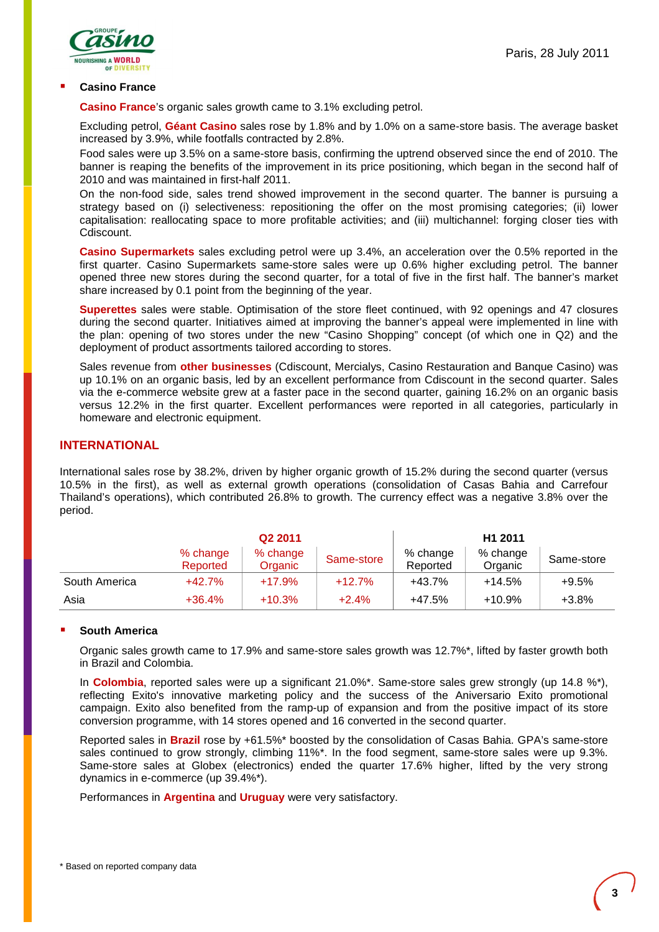

### **Casino France**

**Casino France**'s organic sales growth came to 3.1% excluding petrol.

Excluding petrol, **Géant Casino** sales rose by 1.8% and by 1.0% on a same-store basis. The average basket increased by 3.9%, while footfalls contracted by 2.8%.

Food sales were up 3.5% on a same-store basis, confirming the uptrend observed since the end of 2010. The banner is reaping the benefits of the improvement in its price positioning, which began in the second half of 2010 and was maintained in first-half 2011.

On the non-food side, sales trend showed improvement in the second quarter. The banner is pursuing a strategy based on (i) selectiveness: repositioning the offer on the most promising categories; (ii) lower capitalisation: reallocating space to more profitable activities; and (iii) multichannel: forging closer ties with Cdiscount.

**Casino Supermarkets** sales excluding petrol were up 3.4%, an acceleration over the 0.5% reported in the first quarter. Casino Supermarkets same-store sales were up 0.6% higher excluding petrol. The banner opened three new stores during the second quarter, for a total of five in the first half. The banner's market share increased by 0.1 point from the beginning of the year.

**Superettes** sales were stable. Optimisation of the store fleet continued, with 92 openings and 47 closures during the second quarter. Initiatives aimed at improving the banner's appeal were implemented in line with the plan: opening of two stores under the new "Casino Shopping" concept (of which one in Q2) and the deployment of product assortments tailored according to stores.

Sales revenue from **other businesses** (Cdiscount, Mercialys, Casino Restauration and Banque Casino) was up 10.1% on an organic basis, led by an excellent performance from Cdiscount in the second quarter. Sales via the e-commerce website grew at a faster pace in the second quarter, gaining 16.2% on an organic basis versus 12.2% in the first quarter. Excellent performances were reported in all categories, particularly in homeware and electronic equipment.

# **INTERNATIONAL**

International sales rose by 38.2%, driven by higher organic growth of 15.2% during the second quarter (versus 10.5% in the first), as well as external growth operations (consolidation of Casas Bahia and Carrefour Thailand's operations), which contributed 26.8% to growth. The currency effect was a negative 3.8% over the period.

|               |                      | Q <sub>2</sub> 2011 |            | H <sub>1</sub> 2011  |                     |            |  |
|---------------|----------------------|---------------------|------------|----------------------|---------------------|------------|--|
|               | % change<br>Reported | % change<br>Organic | Same-store | % change<br>Reported | % change<br>Organic | Same-store |  |
| South America | $+42.7%$             | $+17.9%$            | $+12.7%$   | +43.7%               | $+14.5%$            | $+9.5%$    |  |
| Asia          | $+36.4%$             | $+10.3%$            | $+2.4%$    | +47.5%               | $+10.9%$            | $+3.8%$    |  |

### **South America**

Organic sales growth came to 17.9% and same-store sales growth was 12.7%\*, lifted by faster growth both in Brazil and Colombia.

In **Colombia**, reported sales were up a significant 21.0%\*. Same-store sales grew strongly (up 14.8 %\*), reflecting Exito's innovative marketing policy and the success of the Aniversario Exito promotional campaign. Exito also benefited from the ramp-up of expansion and from the positive impact of its store conversion programme, with 14 stores opened and 16 converted in the second quarter.

Reported sales in **Brazil** rose by +61.5%\* boosted by the consolidation of Casas Bahia. GPA's same-store sales continued to grow strongly, climbing 11%\*. In the food segment, same-store sales were up 9.3%. Same-store sales at Globex (electronics) ended the quarter 17.6% higher, lifted by the very strong dynamics in e-commerce (up 39.4%\*).

Performances in **Argentina** and **Uruguay** were very satisfactory.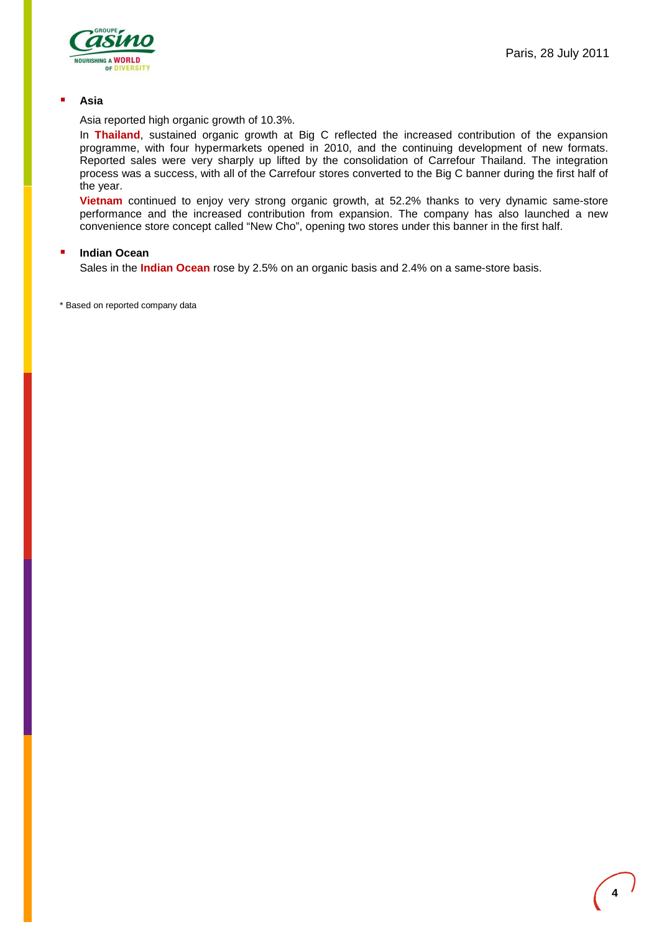

#### **Asia**

Asia reported high organic growth of 10.3%.

In **Thailand**, sustained organic growth at Big C reflected the increased contribution of the expansion programme, with four hypermarkets opened in 2010, and the continuing development of new formats. Reported sales were very sharply up lifted by the consolidation of Carrefour Thailand. The integration process was a success, with all of the Carrefour stores converted to the Big C banner during the first half of the year.

**Vietnam** continued to enjoy very strong organic growth, at 52.2% thanks to very dynamic same-store performance and the increased contribution from expansion. The company has also launched a new convenience store concept called "New Cho", opening two stores under this banner in the first half.

#### **Indian Ocean**

Sales in the **Indian Ocean** rose by 2.5% on an organic basis and 2.4% on a same-store basis.

\* Based on reported company data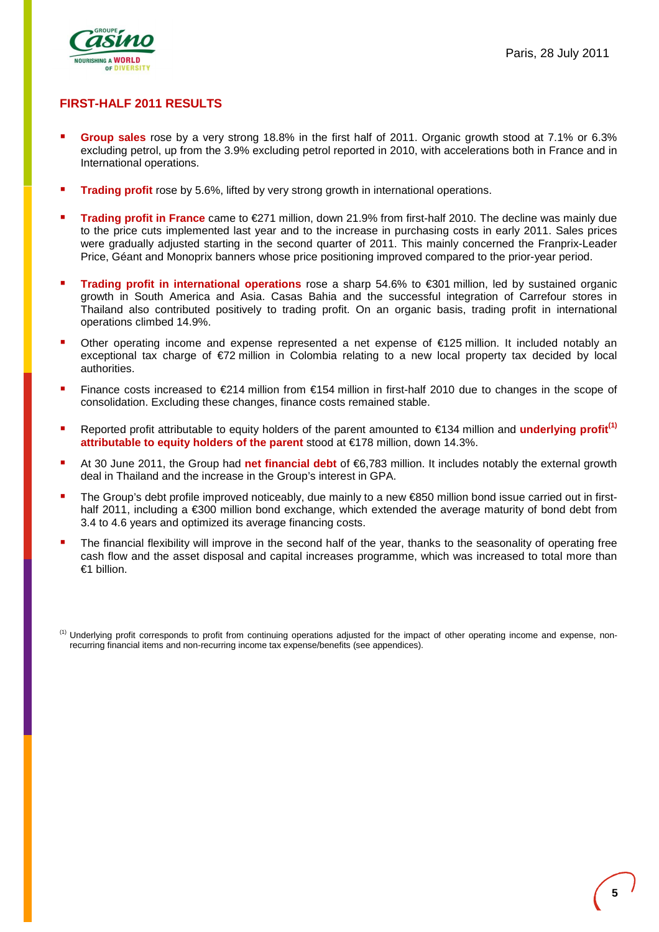

# **FIRST-HALF 2011 RESULTS**

- **Group sales** rose by a very strong 18.8% in the first half of 2011. Organic growth stood at 7.1% or 6.3% excluding petrol, up from the 3.9% excluding petrol reported in 2010, with accelerations both in France and in International operations.
- **Trading profit** rose by 5.6%, lifted by very strong growth in international operations.
- **Trading profit in France** came to €271 million, down 21.9% from first-half 2010. The decline was mainly due to the price cuts implemented last year and to the increase in purchasing costs in early 2011. Sales prices were gradually adjusted starting in the second quarter of 2011. This mainly concerned the Franprix-Leader Price, Géant and Monoprix banners whose price positioning improved compared to the prior-year period.
- **Trading profit in international operations** rose a sharp 54.6% to €301 million, led by sustained organic growth in South America and Asia. Casas Bahia and the successful integration of Carrefour stores in Thailand also contributed positively to trading profit. On an organic basis, trading profit in international operations climbed 14.9%.
- Other operating income and expense represented a net expense of €125 million. It included notably an exceptional tax charge of €72 million in Colombia relating to a new local property tax decided by local authorities.
- Finance costs increased to €214 million from €154 million in first-half 2010 due to changes in the scope of consolidation. Excluding these changes, finance costs remained stable.
- Reported profit attributable to equity holders of the parent amounted to €134 million and **underlying profit(1) attributable to equity holders of the parent** stood at €178 million, down 14.3%.
- At 30 June 2011, the Group had **net financial debt** of €6,783 million. It includes notably the external growth deal in Thailand and the increase in the Group's interest in GPA.
- The Group's debt profile improved noticeably, due mainly to a new €850 million bond issue carried out in firsthalf 2011, including a €300 million bond exchange, which extended the average maturity of bond debt from 3.4 to 4.6 years and optimized its average financing costs.
- The financial flexibility will improve in the second half of the year, thanks to the seasonality of operating free cash flow and the asset disposal and capital increases programme, which was increased to total more than €1 billion.

<sup>&</sup>lt;sup>(1)</sup> Underlying profit corresponds to profit from continuing operations adjusted for the impact of other operating income and expense, nonrecurring financial items and non-recurring income tax expense/benefits (see appendices).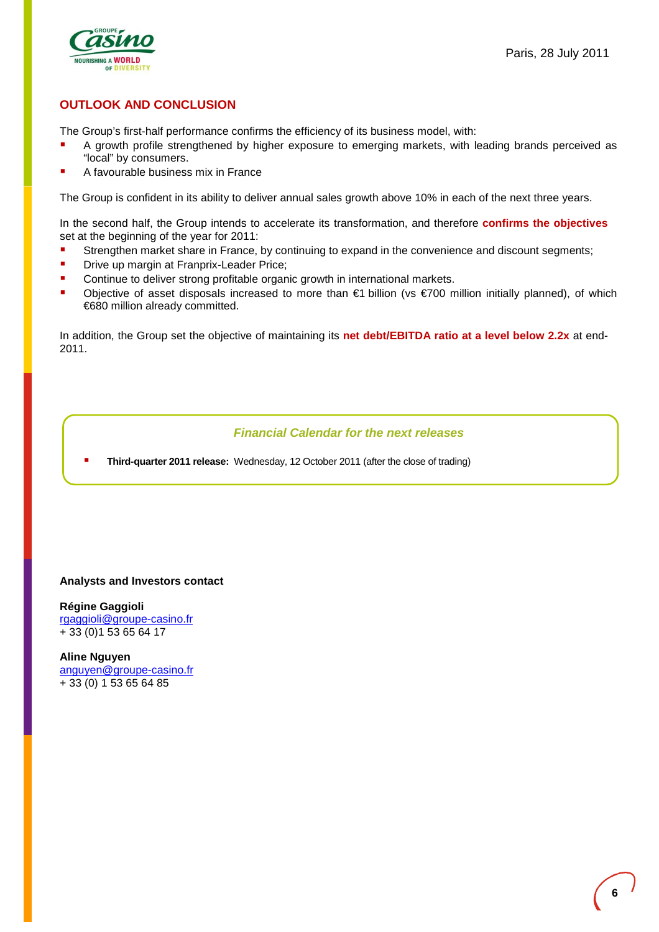

# **OUTLOOK AND CONCLUSION**

The Group's first-half performance confirms the efficiency of its business model, with:

- A growth profile strengthened by higher exposure to emerging markets, with leading brands perceived as "local" by consumers.
- A favourable business mix in France

The Group is confident in its ability to deliver annual sales growth above 10% in each of the next three years.

In the second half, the Group intends to accelerate its transformation, and therefore **confirms the objectives** set at the beginning of the year for 2011:

- Strengthen market share in France, by continuing to expand in the convenience and discount segments;
- **Drive up margin at Franprix-Leader Price;**
- Continue to deliver strong profitable organic growth in international markets.
- Objective of asset disposals increased to more than €1 billion (vs €700 million initially planned), of which €680 million already committed.

In addition, the Group set the objective of maintaining its **net debt/EBITDA ratio at a level below 2.2x** at end-2011.

# **Financial Calendar for the next releases**

**Third-quarter 2011 release:** Wednesday, 12 October 2011 (after the close of trading)

### **Analysts and Investors contact**

**Régine Gaggioli**  rgaggioli@groupe-casino.fr + 33 (0)1 53 65 64 17

**Aline Nguyen**  anguyen@groupe-casino.fr + 33 (0) 1 53 65 64 85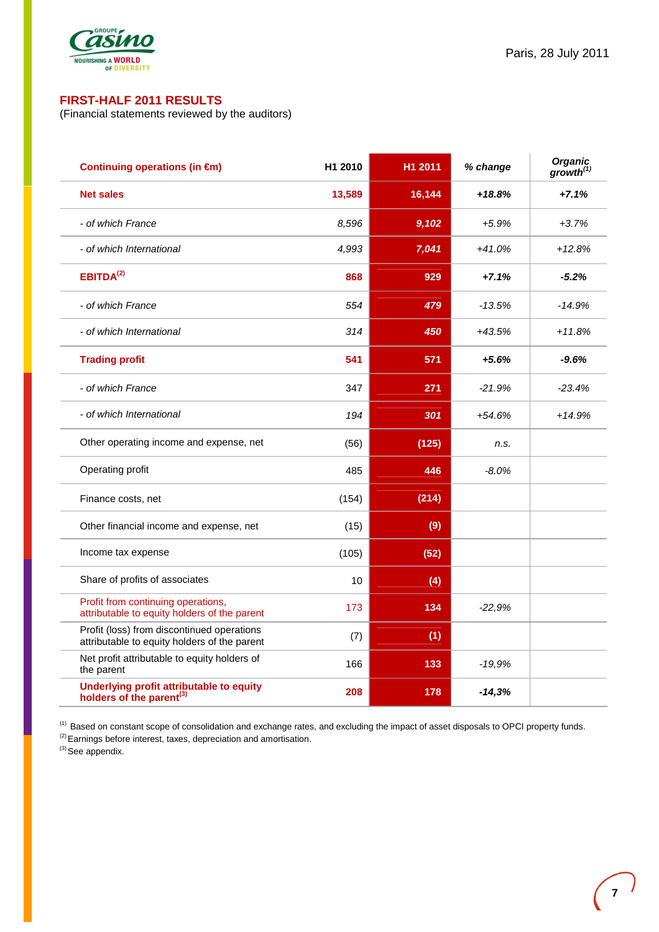

# **FIRST-HALF 2011 RESULTS**

(Financial statements reviewed by the auditors)

| Continuing operations (in €m)                                                              | H1 2010 | H1 2011 | % change | <b>Organic</b><br>$\mathbf{growth}^{(1)}$ |
|--------------------------------------------------------------------------------------------|---------|---------|----------|-------------------------------------------|
| <b>Net sales</b>                                                                           | 13,589  | 16,144  | $+18.8%$ | $+7.1%$                                   |
| - of which France                                                                          | 8,596   | 9,102   | $+5.9%$  | $+3.7%$                                   |
| - of which International                                                                   | 4,993   | 7,041   | $+41.0%$ | $+12.8%$                                  |
| EBITDA <sup>(2)</sup>                                                                      | 868     | 929     | $+7.1%$  | $-5.2%$                                   |
| - of which France                                                                          | 554     | 479     | $-13.5%$ | $-14.9%$                                  |
| - of which International                                                                   | 314     | 450     | $+43.5%$ | $+11.8%$                                  |
| <b>Trading profit</b>                                                                      | 541     | 571     | $+5.6%$  | $-9.6%$                                   |
| - of which France                                                                          | 347     | 271     | $-21.9%$ | $-23.4%$                                  |
| - of which International                                                                   | 194     | 301     | $+54.6%$ | $+14.9%$                                  |
| Other operating income and expense, net                                                    | (56)    | (125)   | n.s.     |                                           |
| Operating profit                                                                           | 485     | 446     | $-8.0%$  |                                           |
| Finance costs, net                                                                         | (154)   | (214)   |          |                                           |
| Other financial income and expense, net                                                    | (15)    | (9)     |          |                                           |
| Income tax expense                                                                         | (105)   | (52)    |          |                                           |
| Share of profits of associates                                                             | 10      | (4)     |          |                                           |
| Profit from continuing operations,<br>attributable to equity holders of the parent         | 173     | 134     | $-22,9%$ |                                           |
| Profit (loss) from discontinued operations<br>attributable to equity holders of the parent | (7)     | (1)     |          |                                           |
| Net profit attributable to equity holders of<br>the parent                                 | 166     | 133     | $-19,9%$ |                                           |
| Underlying profit attributable to equity<br>holders of the parent <sup>(3)</sup>           | 208     | 178     | $-14,3%$ |                                           |

<sup>(1)</sup> Based on constant scope of consolidation and exchange rates, and excluding the impact of asset disposals to OPCI property funds.

<sup>(2)</sup> Earnings before interest, taxes, depreciation and amortisation.

 $(3)$  See appendix.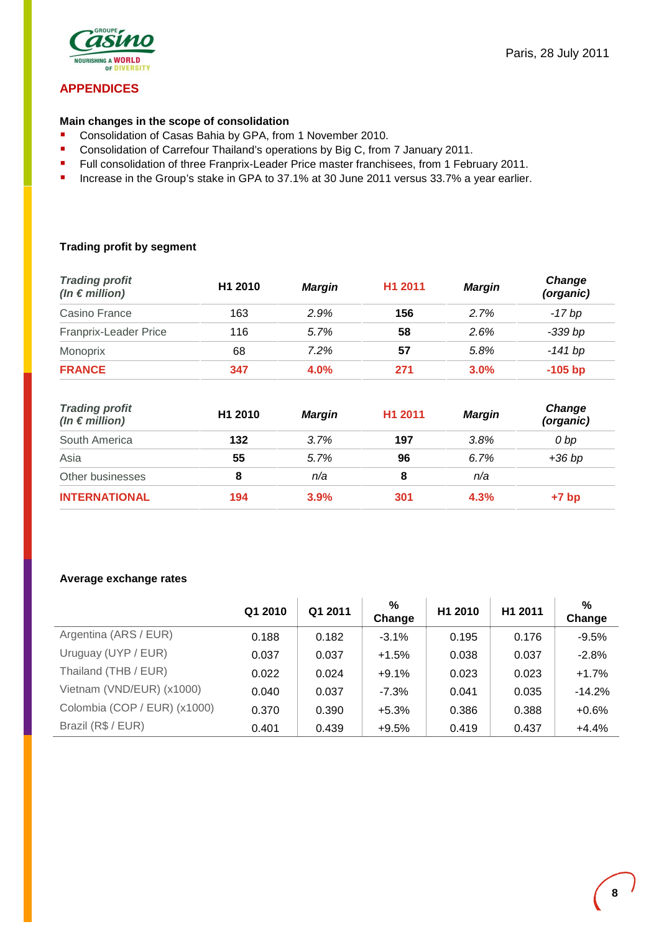

# **APPENDICES**

### **Main changes in the scope of consolidation**

- **Consolidation of Casas Bahia by GPA, from 1 November 2010.**
- **Consolidation of Carrefour Thailand's operations by Big C, from 7 January 2011.**
- Full consolidation of three Franprix-Leader Price master franchisees, from 1 February 2011.
- **Increase in the Group's stake in GPA to 37.1% at 30 June 2011 versus 33.7% a year earlier.**

# **Trading profit by segment**

| <b>Trading profit</b><br>$(ln \in million)$ | H <sub>1</sub> 2010 | Margin  | H <sub>1</sub> 2011 | Margin  | Change<br>(organic) |
|---------------------------------------------|---------------------|---------|---------------------|---------|---------------------|
| Casino France                               | 163                 | 2.9%    | 156                 | 2.7%    | -17 bp              |
| Franprix-Leader Price                       | 116                 | 5.7%    | 58                  | 2.6%    | -339 bp             |
| Monoprix                                    | 68                  | 7.2%    | 57                  | 5.8%    | -141 bp             |
| <b>FRANCE</b>                               | 347                 | $4.0\%$ | 271                 | $3.0\%$ | $-105$ bp           |

| <b>Trading profit</b><br>(In $\epsilon$ million) | H1 2010 | <b>Margin</b> | H <sub>1</sub> 2011 | <b>Margin</b> | Change<br>(organic) |
|--------------------------------------------------|---------|---------------|---------------------|---------------|---------------------|
| South America                                    | 132     | 3.7%          | 197                 | 3.8%          | 0 bp                |
| Asia                                             | 55      | 5.7%          | 96                  | 6.7%          | $+36$ bp            |
| Other businesses                                 | 8       | n/a           | 8                   | n/a           |                     |
| <b>INTERNATIONAL</b>                             | 194     | 3.9%          | 301                 | 4.3%          | $+7$ bp             |

### **Average exchange rates**

|                              | Q1 2010 | Q1 2011 | %<br>Change | H1 2010 | H <sub>1</sub> 2011 | $\%$<br>Change |
|------------------------------|---------|---------|-------------|---------|---------------------|----------------|
| Argentina (ARS / EUR)        | 0.188   | 0.182   | $-3.1%$     | 0.195   | 0.176               | $-9.5%$        |
| Uruguay (UYP / EUR)          | 0.037   | 0.037   | $+1.5%$     | 0.038   | 0.037               | $-2.8%$        |
| Thailand (THB / EUR)         | 0.022   | 0.024   | $+9.1%$     | 0.023   | 0.023               | $+1.7%$        |
| Vietnam (VND/EUR) (x1000)    | 0.040   | 0.037   | $-7.3%$     | 0.041   | 0.035               | $-14.2%$       |
| Colombia (COP / EUR) (x1000) | 0.370   | 0.390   | $+5.3%$     | 0.386   | 0.388               | $+0.6%$        |
| Brazil (R\$ / EUR)           | 0.401   | 0.439   | $+9.5%$     | 0.419   | 0.437               | $+4.4%$        |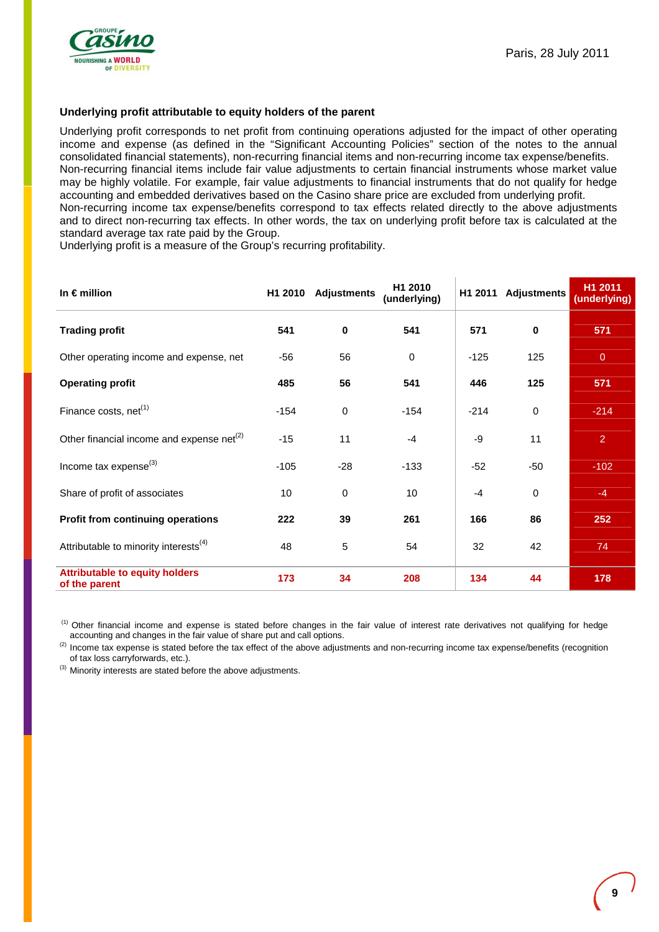

### **Underlying profit attributable to equity holders of the parent**

Underlying profit corresponds to net profit from continuing operations adjusted for the impact of other operating income and expense (as defined in the "Significant Accounting Policies" section of the notes to the annual consolidated financial statements), non-recurring financial items and non-recurring income tax expense/benefits. Non-recurring financial items include fair value adjustments to certain financial instruments whose market value may be highly volatile. For example, fair value adjustments to financial instruments that do not qualify for hedge accounting and embedded derivatives based on the Casino share price are excluded from underlying profit. Non-recurring income tax expense/benefits correspond to tax effects related directly to the above adjustments and to direct non-recurring tax effects. In other words, the tax on underlying profit before tax is calculated at the standard average tax rate paid by the Group.

Underlying profit is a measure of the Group's recurring profitability.

| In $\epsilon$ million                                  |        | H1 2010 Adjustments | H <sub>1</sub> 2010<br>(underlying) |        | H1 2011 Adjustments | H <sub>1</sub> 2011<br>(underlying) |
|--------------------------------------------------------|--------|---------------------|-------------------------------------|--------|---------------------|-------------------------------------|
| <b>Trading profit</b>                                  | 541    | 0                   | 541                                 | 571    | $\bf{0}$            | 571                                 |
| Other operating income and expense, net                | $-56$  | 56                  | $\Omega$                            | $-125$ | 125                 | $\overline{0}$                      |
| <b>Operating profit</b>                                | 485    | 56                  | 541                                 | 446    | 125                 | 571                                 |
| Finance costs, $net(1)$                                | $-154$ | 0                   | $-154$                              | $-214$ | $\mathbf 0$         | $-214$                              |
| Other financial income and expense net <sup>(2)</sup>  | $-15$  | 11                  | $-4$                                | -9     | 11                  | $\overline{2}$                      |
| Income tax expense <sup>(3)</sup>                      | $-105$ | $-28$               | $-133$                              | $-52$  | -50                 | $-102$                              |
| Share of profit of associates                          | 10     | $\mathbf 0$         | 10                                  | $-4$   | $\mathbf 0$         | $-4$                                |
| Profit from continuing operations                      | 222    | 39                  | 261                                 | 166    | 86                  | 252                                 |
| Attributable to minority interests <sup>(4)</sup>      | 48     | 5                   | 54                                  | 32     | 42                  | 74                                  |
| <b>Attributable to equity holders</b><br>of the parent | 173    | 34                  | 208                                 | 134    | 44                  | 178                                 |

<sup>(1)</sup> Other financial income and expense is stated before changes in the fair value of interest rate derivatives not qualifying for hedge accounting and changes in the fair value of share put and call options.

<sup>(2)</sup> Income tax expense is stated before the tax effect of the above adjustments and non-recurring income tax expense/benefits (recognition of tax loss carryforwards, etc.).

 $^{(3)}$  Minority interests are stated before the above adjustments.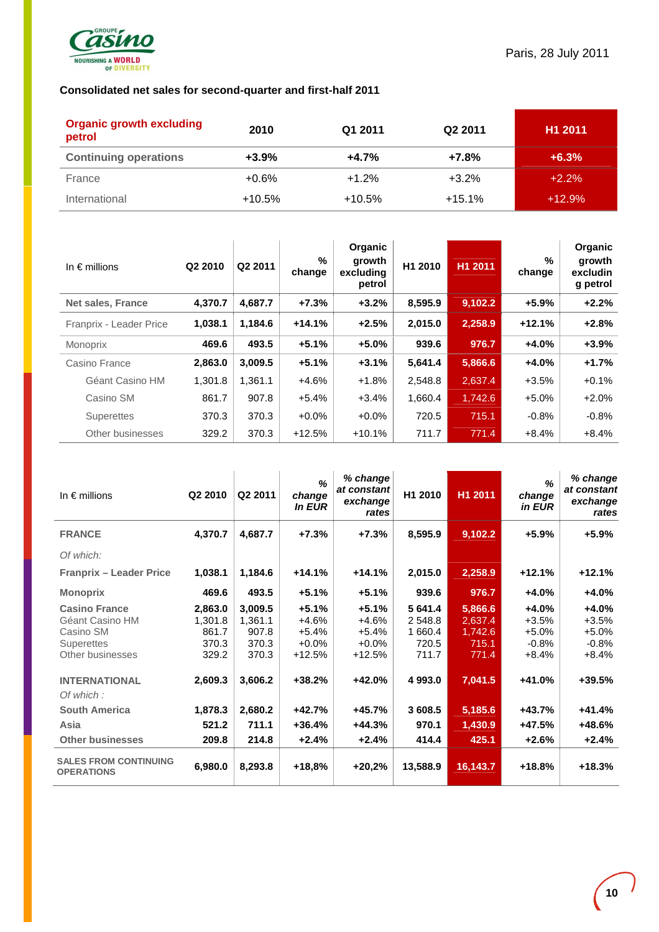

# **Consolidated net sales for second-quarter and first-half 2011**

| <b>Organic growth excluding</b><br>petrol | 2010     | Q1 2011  | Q <sub>2</sub> 2011 | H <sub>1</sub> 2011 |
|-------------------------------------------|----------|----------|---------------------|---------------------|
| <b>Continuing operations</b>              | $+3.9%$  | $+4.7%$  | $+7.8%$             | $+6.3%$             |
| France                                    | +0.6%    | $+1.2%$  | $+3.2%$             | $+2.2%$             |
| International                             | $+10.5%$ | $+10.5%$ | $+15.1%$            | $+12.9%$            |

| In $\epsilon$ millions   | Q <sub>2</sub> 2010 | Q2 2011 | %<br>change | <b>Organic</b><br>growth<br>excludina<br>petrol | H1 2010 | H1 2011 | %<br>change | Organic<br>growth<br>excludin<br>g petrol |
|--------------------------|---------------------|---------|-------------|-------------------------------------------------|---------|---------|-------------|-------------------------------------------|
| <b>Net sales, France</b> | 4,370.7             | 4,687.7 | $+7.3%$     | $+3.2%$                                         | 8,595.9 | 9,102.2 | $+5.9%$     | $+2.2%$                                   |
| Franprix - Leader Price  | 1.038.1             | 1.184.6 | $+14.1%$    | $+2.5%$                                         | 2.015.0 | 2,258.9 | $+12.1%$    | $+2.8%$                                   |
| Monoprix                 | 469.6               | 493.5   | $+5.1%$     | $+5.0%$                                         | 939.6   | 976.7   | $+4.0%$     | $+3.9%$                                   |
| Casino France            | 2,863.0             | 3,009.5 | $+5.1%$     | $+3.1%$                                         | 5,641.4 | 5,866.6 | $+4.0%$     | $+1.7%$                                   |
| Géant Casino HM          | 1.301.8             | 1.361.1 | +4.6%       | $+1.8%$                                         | 2,548.8 | 2,637.4 | $+3.5%$     | $+0.1%$                                   |
| Casino SM                | 861.7               | 907.8   | $+5.4%$     | $+3.4%$                                         | 1,660.4 | 1,742.6 | $+5.0%$     | $+2.0%$                                   |
| Superettes               | 370.3               | 370.3   | $+0.0\%$    | $+0.0%$                                         | 720.5   | 715.1   | $-0.8%$     | $-0.8%$                                   |
| Other businesses         | 329.2               | 370.3   | $+12.5%$    | $+10.1%$                                        | 711.7   | 771.4   | $+8.4%$     | $+8.4%$                                   |

| In $\epsilon$ millions                                                                        | Q <sub>2</sub> 2010                           | Q2 2011                                       | %<br>change<br><b>In EUR</b>                         | % change<br>at constant<br>exchange<br>rates        | H1 2010                                         | H1 2011                                         | $\frac{9}{6}$<br>change<br>in EUR                   | % change<br>at constant<br>exchange<br>rates        |
|-----------------------------------------------------------------------------------------------|-----------------------------------------------|-----------------------------------------------|------------------------------------------------------|-----------------------------------------------------|-------------------------------------------------|-------------------------------------------------|-----------------------------------------------------|-----------------------------------------------------|
| <b>FRANCE</b>                                                                                 | 4,370.7                                       | 4,687.7                                       | $+7.3%$                                              | $+7.3%$                                             | 8,595.9                                         | 9,102.2                                         | $+5.9%$                                             | $+5.9%$                                             |
| Of which:                                                                                     |                                               |                                               |                                                      |                                                     |                                                 |                                                 |                                                     |                                                     |
| <b>Franprix - Leader Price</b>                                                                | 1,038.1                                       | 1,184.6                                       | $+14.1%$                                             | $+14.1%$                                            | 2,015.0                                         | 2,258.9                                         | $+12.1%$                                            | $+12.1%$                                            |
| <b>Monoprix</b>                                                                               | 469.6                                         | 493.5                                         | $+5.1%$                                              | $+5.1%$                                             | 939.6                                           | 976.7                                           | $+4.0%$                                             | $+4.0%$                                             |
| <b>Casino France</b><br>Géant Casino HM<br>Casino SM<br><b>Superettes</b><br>Other businesses | 2,863.0<br>1,301.8<br>861.7<br>370.3<br>329.2 | 3,009.5<br>1,361.1<br>907.8<br>370.3<br>370.3 | $+5.1%$<br>$+4.6%$<br>$+5.4%$<br>$+0.0%$<br>$+12.5%$ | $+5.1%$<br>+4.6%<br>$+5.4\%$<br>$+0.0%$<br>$+12.5%$ | 5 641.4<br>2 548.8<br>1 660.4<br>720.5<br>711.7 | 5,866.6<br>2,637.4<br>1,742.6<br>715.1<br>771.4 | $+4.0%$<br>$+3.5%$<br>$+5.0%$<br>$-0.8%$<br>$+8.4%$ | $+4.0%$<br>$+3.5%$<br>$+5.0%$<br>$-0.8%$<br>$+8.4%$ |
| <b>INTERNATIONAL</b><br>Of which:                                                             | 2,609.3                                       | 3,606.2                                       | $+38.2%$                                             | +42.0%                                              | 4 9 9 3 .0                                      | 7,041.5                                         | +41.0%                                              | +39.5%                                              |
| <b>South America</b>                                                                          | 1,878.3                                       | 2,680.2                                       | $+42.7%$                                             | +45.7%                                              | 3 608.5                                         | 5,185.6                                         | $+43.7%$                                            | +41.4%                                              |
| Asia                                                                                          | 521.2                                         | 711.1                                         | $+36.4%$                                             | $+44.3%$                                            | 970.1                                           | 1,430.9                                         | +47.5%                                              | +48.6%                                              |
| <b>Other businesses</b>                                                                       | 209.8                                         | 214.8                                         | $+2.4%$                                              | $+2.4%$                                             | 414.4                                           | 425.1                                           | $+2.6%$                                             | $+2.4%$                                             |
| <b>SALES FROM CONTINUING</b><br><b>OPERATIONS</b>                                             | 6,980.0                                       | 8,293.8                                       | $+18,8%$                                             | $+20,2%$                                            | 13,588.9                                        | 16,143.7                                        | $+18.8%$                                            | $+18.3%$                                            |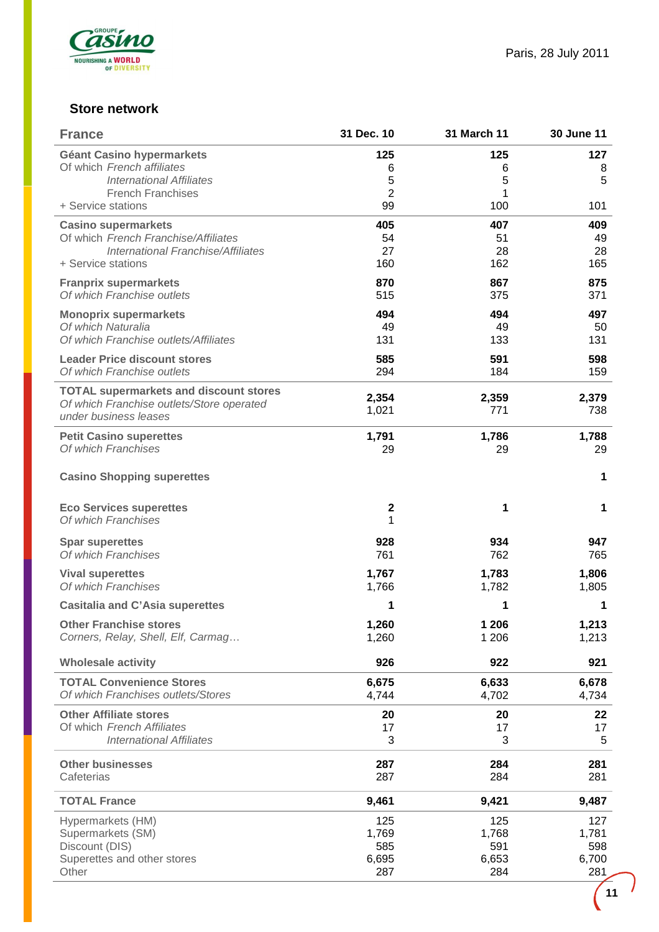

# **Store network**

| <b>France</b>                                                         | 31 Dec. 10          | <b>31 March 11</b> | <b>30 June 11</b> |
|-----------------------------------------------------------------------|---------------------|--------------------|-------------------|
| <b>Géant Casino hypermarkets</b>                                      | 125                 | 125                | 127               |
| Of which French affiliates                                            | 6                   | 6                  | 8                 |
| <b>International Affiliates</b><br><b>French Franchises</b>           | 5<br>$\overline{2}$ | 5<br>1             | 5                 |
| + Service stations                                                    | 99                  | 100                | 101               |
| <b>Casino supermarkets</b>                                            | 405                 | 407                | 409               |
| Of which French Franchise/Affiliates                                  | 54                  | 51                 | 49                |
| International Franchise/Affiliates                                    | 27                  | 28                 | 28                |
| + Service stations                                                    | 160                 | 162                | 165               |
| <b>Franprix supermarkets</b>                                          | 870                 | 867                | 875               |
| Of which Franchise outlets                                            | 515                 | 375                | 371               |
| <b>Monoprix supermarkets</b>                                          | 494                 | 494                | 497               |
| Of which Naturalia<br>Of which Franchise outlets/Affiliates           | 49<br>131           | 49<br>133          | 50<br>131         |
|                                                                       |                     |                    |                   |
| <b>Leader Price discount stores</b><br>Of which Franchise outlets     | 585<br>294          | 591<br>184         | 598<br>159        |
|                                                                       |                     |                    |                   |
| <b>TOTAL supermarkets and discount stores</b>                         | 2,354               | 2,359              | 2,379             |
| Of which Franchise outlets/Store operated<br>under business leases    | 1,021               | 771                | 738               |
|                                                                       |                     |                    |                   |
| <b>Petit Casino superettes</b><br>Of which Franchises                 | 1,791<br>29         | 1,786<br>29        | 1,788<br>29       |
|                                                                       |                     |                    |                   |
| <b>Casino Shopping superettes</b>                                     |                     |                    | 1                 |
|                                                                       |                     |                    |                   |
| <b>Eco Services superettes</b>                                        | $\mathbf 2$         | 1                  | 1                 |
| Of which Franchises                                                   | 1                   |                    |                   |
| <b>Spar superettes</b>                                                | 928                 | 934                | 947               |
| Of which Franchises                                                   | 761                 | 762                | 765               |
| <b>Vival superettes</b>                                               | 1,767               | 1,783              | 1,806             |
| Of which Franchises                                                   | 1,766               | 1,782              | 1,805             |
| <b>Casitalia and C'Asia superettes</b>                                | 1                   | 1                  | 1                 |
| <b>Other Franchise stores</b>                                         | 1,260               | 1 206              | 1,213             |
| Corners, Relay, Shell, Elf, Carmag                                    | 1,260               | 1 206              | 1,213             |
| <b>Wholesale activity</b>                                             | 926                 | 922                | 921               |
|                                                                       |                     |                    |                   |
| <b>TOTAL Convenience Stores</b><br>Of which Franchises outlets/Stores | 6,675<br>4,744      | 6,633<br>4,702     | 6,678<br>4,734    |
|                                                                       |                     |                    |                   |
| <b>Other Affiliate stores</b><br>Of which French Affiliates           | 20<br>17            | 20<br>17           | 22<br>17          |
| <b>International Affiliates</b>                                       | 3                   | 3                  | 5                 |
|                                                                       |                     |                    |                   |
| <b>Other businesses</b>                                               | 287                 | 284                | 281               |
| Cafeterias                                                            | 287                 | 284                | 281               |
| <b>TOTAL France</b>                                                   | 9,461               | 9,421              | 9,487             |
| Hypermarkets (HM)                                                     | 125                 | 125                | 127               |
| Supermarkets (SM)                                                     | 1,769               | 1,768              | 1,781             |
| Discount (DIS)                                                        | 585                 | 591                | 598               |
| Superettes and other stores<br>Other                                  | 6,695<br>287        | 6,653<br>284       | 6,700<br>281      |
|                                                                       |                     |                    |                   |